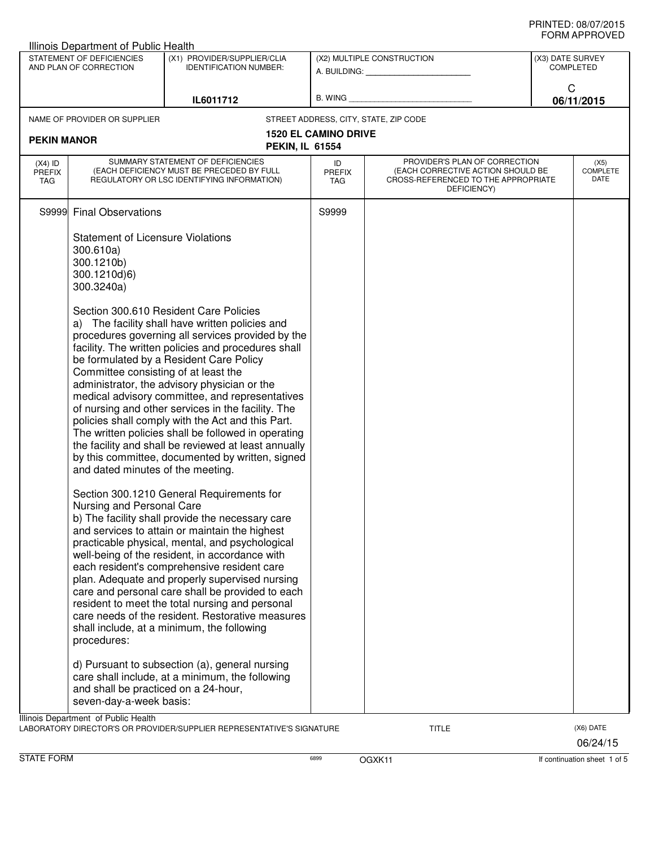| Illinois Department of Public Health                                                                                |                                                                                                                                                                                                             |                                                                                                                                                                                                                                                                                                                                                                                                                                                                                                                                                                                                                                                                                                                                                                                                                                                                                                                                                                                            |                                   |                                                                                                                          |  |                                 |  |
|---------------------------------------------------------------------------------------------------------------------|-------------------------------------------------------------------------------------------------------------------------------------------------------------------------------------------------------------|--------------------------------------------------------------------------------------------------------------------------------------------------------------------------------------------------------------------------------------------------------------------------------------------------------------------------------------------------------------------------------------------------------------------------------------------------------------------------------------------------------------------------------------------------------------------------------------------------------------------------------------------------------------------------------------------------------------------------------------------------------------------------------------------------------------------------------------------------------------------------------------------------------------------------------------------------------------------------------------------|-----------------------------------|--------------------------------------------------------------------------------------------------------------------------|--|---------------------------------|--|
| STATEMENT OF DEFICIENCIES<br>(X1) PROVIDER/SUPPLIER/CLIA<br>AND PLAN OF CORRECTION<br><b>IDENTIFICATION NUMBER:</b> |                                                                                                                                                                                                             | (X2) MULTIPLE CONSTRUCTION                                                                                                                                                                                                                                                                                                                                                                                                                                                                                                                                                                                                                                                                                                                                                                                                                                                                                                                                                                 |                                   | (X3) DATE SURVEY<br><b>COMPLETED</b>                                                                                     |  |                                 |  |
| IL6011712                                                                                                           |                                                                                                                                                                                                             | $B.$ WING $\_$                                                                                                                                                                                                                                                                                                                                                                                                                                                                                                                                                                                                                                                                                                                                                                                                                                                                                                                                                                             |                                   | C<br>06/11/2015                                                                                                          |  |                                 |  |
|                                                                                                                     | NAME OF PROVIDER OR SUPPLIER                                                                                                                                                                                |                                                                                                                                                                                                                                                                                                                                                                                                                                                                                                                                                                                                                                                                                                                                                                                                                                                                                                                                                                                            |                                   | STREET ADDRESS, CITY, STATE, ZIP CODE                                                                                    |  |                                 |  |
| <b>PEKIN MANOR</b>                                                                                                  |                                                                                                                                                                                                             | <b>PEKIN, IL 61554</b>                                                                                                                                                                                                                                                                                                                                                                                                                                                                                                                                                                                                                                                                                                                                                                                                                                                                                                                                                                     | <b>1520 EL CAMINO DRIVE</b>       |                                                                                                                          |  |                                 |  |
| $(X4)$ ID<br><b>PREFIX</b><br>TAG                                                                                   |                                                                                                                                                                                                             | SUMMARY STATEMENT OF DEFICIENCIES<br>(EACH DEFICIENCY MUST BE PRECEDED BY FULL<br>REGULATORY OR LSC IDENTIFYING INFORMATION)                                                                                                                                                                                                                                                                                                                                                                                                                                                                                                                                                                                                                                                                                                                                                                                                                                                               | ID<br><b>PREFIX</b><br><b>TAG</b> | PROVIDER'S PLAN OF CORRECTION<br>(EACH CORRECTIVE ACTION SHOULD BE<br>CROSS-REFERENCED TO THE APPROPRIATE<br>DEFICIENCY) |  | (X5)<br><b>COMPLETE</b><br>DATE |  |
|                                                                                                                     | S9999 Final Observations                                                                                                                                                                                    |                                                                                                                                                                                                                                                                                                                                                                                                                                                                                                                                                                                                                                                                                                                                                                                                                                                                                                                                                                                            | S9999                             |                                                                                                                          |  |                                 |  |
|                                                                                                                     | <b>Statement of Licensure Violations</b><br>300.610a)<br>300.1210b)<br>300.1210d)6)<br>300.3240a)<br>Committee consisting of at least the<br>and dated minutes of the meeting.<br>Nursing and Personal Care | Section 300.610 Resident Care Policies<br>a) The facility shall have written policies and<br>procedures governing all services provided by the<br>facility. The written policies and procedures shall<br>be formulated by a Resident Care Policy<br>administrator, the advisory physician or the<br>medical advisory committee, and representatives<br>of nursing and other services in the facility. The<br>policies shall comply with the Act and this Part.<br>The written policies shall be followed in operating<br>the facility and shall be reviewed at least annually<br>by this committee, documented by written, signed<br>Section 300.1210 General Requirements for<br>b) The facility shall provide the necessary care<br>and services to attain or maintain the highest<br>practicable physical, mental, and psychological<br>well-being of the resident, in accordance with<br>each resident's comprehensive resident care<br>plan. Adequate and properly supervised nursing |                                   |                                                                                                                          |  |                                 |  |
|                                                                                                                     | procedures:                                                                                                                                                                                                 | care and personal care shall be provided to each<br>resident to meet the total nursing and personal<br>care needs of the resident. Restorative measures<br>shall include, at a minimum, the following<br>d) Pursuant to subsection (a), general nursing                                                                                                                                                                                                                                                                                                                                                                                                                                                                                                                                                                                                                                                                                                                                    |                                   |                                                                                                                          |  |                                 |  |
|                                                                                                                     | and shall be practiced on a 24-hour,<br>seven-day-a-week basis:                                                                                                                                             | care shall include, at a minimum, the following                                                                                                                                                                                                                                                                                                                                                                                                                                                                                                                                                                                                                                                                                                                                                                                                                                                                                                                                            |                                   |                                                                                                                          |  |                                 |  |
|                                                                                                                     | Illinois Department of Public Health                                                                                                                                                                        | LABORATORY DIRECTOR'S OR PROVIDER/SUPPLIER REPRESENTATIVE'S SIGNATURE                                                                                                                                                                                                                                                                                                                                                                                                                                                                                                                                                                                                                                                                                                                                                                                                                                                                                                                      |                                   | <b>TITLE</b>                                                                                                             |  | (X6) DATE<br>06/24/15           |  |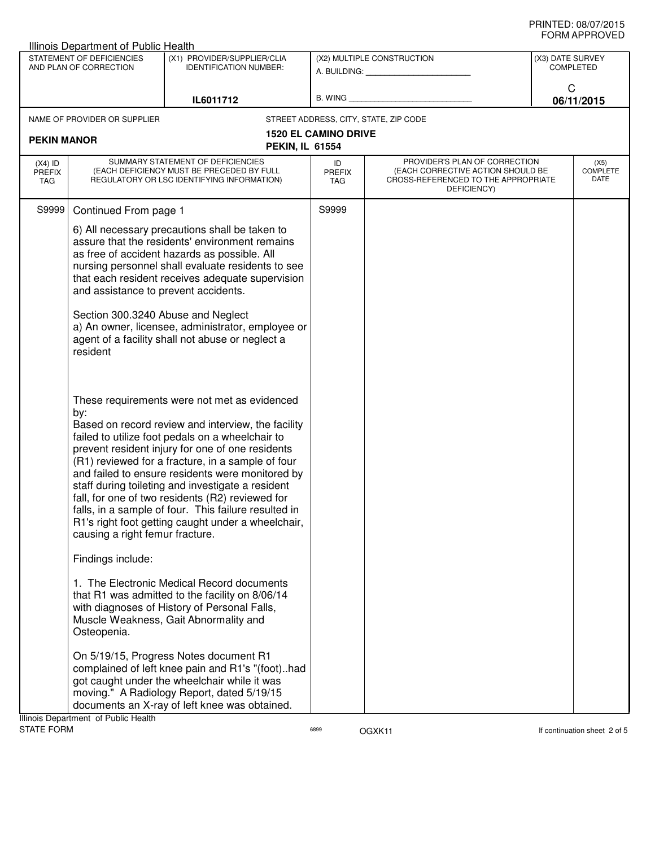| <b>Illinois Department of Public Health</b>                                                                                      |                                                                                                                                                           |                                                                                                                                                                                                                                                                                                                                                                                                                                                                                                                                                                                                                                                                                                                                                                                                                                                                                                                  |                             |                                                                                                                          |                                      |                                 |  |
|----------------------------------------------------------------------------------------------------------------------------------|-----------------------------------------------------------------------------------------------------------------------------------------------------------|------------------------------------------------------------------------------------------------------------------------------------------------------------------------------------------------------------------------------------------------------------------------------------------------------------------------------------------------------------------------------------------------------------------------------------------------------------------------------------------------------------------------------------------------------------------------------------------------------------------------------------------------------------------------------------------------------------------------------------------------------------------------------------------------------------------------------------------------------------------------------------------------------------------|-----------------------------|--------------------------------------------------------------------------------------------------------------------------|--------------------------------------|---------------------------------|--|
| STATEMENT OF DEFICIENCIES<br>(X1) PROVIDER/SUPPLIER/CLIA<br>AND PLAN OF CORRECTION<br><b>IDENTIFICATION NUMBER:</b><br>IL6011712 |                                                                                                                                                           |                                                                                                                                                                                                                                                                                                                                                                                                                                                                                                                                                                                                                                                                                                                                                                                                                                                                                                                  |                             | (X2) MULTIPLE CONSTRUCTION<br>A. BUILDING: A. BUILDING:                                                                  | (X3) DATE SURVEY<br><b>COMPLETED</b> |                                 |  |
|                                                                                                                                  |                                                                                                                                                           | B. WING                                                                                                                                                                                                                                                                                                                                                                                                                                                                                                                                                                                                                                                                                                                                                                                                                                                                                                          |                             | C<br>06/11/2015                                                                                                          |                                      |                                 |  |
|                                                                                                                                  | NAME OF PROVIDER OR SUPPLIER                                                                                                                              |                                                                                                                                                                                                                                                                                                                                                                                                                                                                                                                                                                                                                                                                                                                                                                                                                                                                                                                  |                             | STREET ADDRESS, CITY, STATE, ZIP CODE                                                                                    |                                      |                                 |  |
| <b>PEKIN MANOR</b>                                                                                                               |                                                                                                                                                           | <b>PEKIN, IL 61554</b>                                                                                                                                                                                                                                                                                                                                                                                                                                                                                                                                                                                                                                                                                                                                                                                                                                                                                           | <b>1520 EL CAMINO DRIVE</b> |                                                                                                                          |                                      |                                 |  |
| $(X4)$ ID<br><b>PREFIX</b><br>TAG                                                                                                |                                                                                                                                                           | SUMMARY STATEMENT OF DEFICIENCIES<br>(EACH DEFICIENCY MUST BE PRECEDED BY FULL<br>REGULATORY OR LSC IDENTIFYING INFORMATION)                                                                                                                                                                                                                                                                                                                                                                                                                                                                                                                                                                                                                                                                                                                                                                                     | ID<br><b>PREFIX</b><br>TAG  | PROVIDER'S PLAN OF CORRECTION<br>(EACH CORRECTIVE ACTION SHOULD BE<br>CROSS-REFERENCED TO THE APPROPRIATE<br>DEFICIENCY) |                                      | (X5)<br><b>COMPLETE</b><br>DATE |  |
| S9999                                                                                                                            | Continued From page 1<br>and assistance to prevent accidents.<br>Section 300.3240 Abuse and Neglect<br>resident<br>by:<br>causing a right femur fracture. | 6) All necessary precautions shall be taken to<br>assure that the residents' environment remains<br>as free of accident hazards as possible. All<br>nursing personnel shall evaluate residents to see<br>that each resident receives adequate supervision<br>a) An owner, licensee, administrator, employee or<br>agent of a facility shall not abuse or neglect a<br>These requirements were not met as evidenced<br>Based on record review and interview, the facility<br>failed to utilize foot pedals on a wheelchair to<br>prevent resident injury for one of one residents<br>(R1) reviewed for a fracture, in a sample of four<br>and failed to ensure residents were monitored by<br>staff during toileting and investigate a resident<br>fall, for one of two residents (R2) reviewed for<br>falls, in a sample of four. This failure resulted in<br>R1's right foot getting caught under a wheelchair, | S9999                       |                                                                                                                          |                                      |                                 |  |
|                                                                                                                                  | Findings include:                                                                                                                                         |                                                                                                                                                                                                                                                                                                                                                                                                                                                                                                                                                                                                                                                                                                                                                                                                                                                                                                                  |                             |                                                                                                                          |                                      |                                 |  |
|                                                                                                                                  | Osteopenia.<br>Illinois Department of Public Health                                                                                                       | 1. The Electronic Medical Record documents<br>that R1 was admitted to the facility on 8/06/14<br>with diagnoses of History of Personal Falls,<br>Muscle Weakness, Gait Abnormality and<br>On 5/19/15, Progress Notes document R1<br>complained of left knee pain and R1's "(foot)had<br>got caught under the wheelchair while it was<br>moving." A Radiology Report, dated 5/19/15<br>documents an X-ray of left knee was obtained.                                                                                                                                                                                                                                                                                                                                                                                                                                                                              |                             |                                                                                                                          |                                      |                                 |  |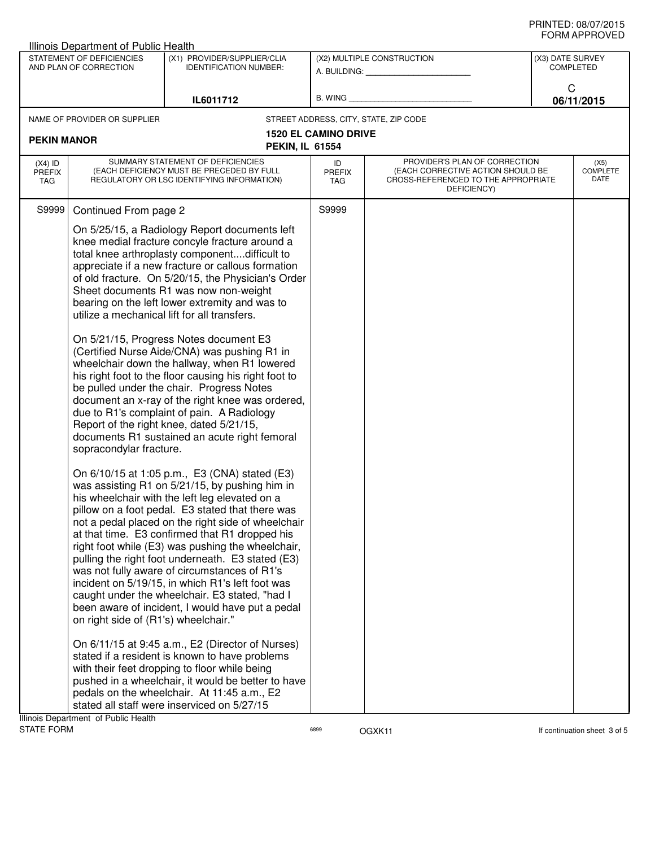| <b>Illinois Department of Public Health</b>         |                                                                                                                                                                                                                                                                                                                                                                                                                                                                                                                                                                                                                                                                                                                                                                                                                                                |                             |                                                                                                                          |                                      |                                 |  |  |
|-----------------------------------------------------|------------------------------------------------------------------------------------------------------------------------------------------------------------------------------------------------------------------------------------------------------------------------------------------------------------------------------------------------------------------------------------------------------------------------------------------------------------------------------------------------------------------------------------------------------------------------------------------------------------------------------------------------------------------------------------------------------------------------------------------------------------------------------------------------------------------------------------------------|-----------------------------|--------------------------------------------------------------------------------------------------------------------------|--------------------------------------|---------------------------------|--|--|
| STATEMENT OF DEFICIENCIES<br>AND PLAN OF CORRECTION | (X1) PROVIDER/SUPPLIER/CLIA<br><b>IDENTIFICATION NUMBER:</b>                                                                                                                                                                                                                                                                                                                                                                                                                                                                                                                                                                                                                                                                                                                                                                                   |                             | (X2) MULTIPLE CONSTRUCTION<br>A. BUILDING: A. BUILDING:                                                                  | (X3) DATE SURVEY<br><b>COMPLETED</b> |                                 |  |  |
| IL6011712                                           |                                                                                                                                                                                                                                                                                                                                                                                                                                                                                                                                                                                                                                                                                                                                                                                                                                                | B. WING                     |                                                                                                                          | C<br>06/11/2015                      |                                 |  |  |
| NAME OF PROVIDER OR SUPPLIER                        |                                                                                                                                                                                                                                                                                                                                                                                                                                                                                                                                                                                                                                                                                                                                                                                                                                                |                             | STREET ADDRESS, CITY, STATE, ZIP CODE                                                                                    |                                      |                                 |  |  |
| <b>PEKIN MANOR</b>                                  | <b>PEKIN, IL 61554</b>                                                                                                                                                                                                                                                                                                                                                                                                                                                                                                                                                                                                                                                                                                                                                                                                                         | <b>1520 EL CAMINO DRIVE</b> |                                                                                                                          |                                      |                                 |  |  |
| $(X4)$ ID<br><b>PREFIX</b><br>TAG                   | SUMMARY STATEMENT OF DEFICIENCIES<br>(EACH DEFICIENCY MUST BE PRECEDED BY FULL<br>REGULATORY OR LSC IDENTIFYING INFORMATION)                                                                                                                                                                                                                                                                                                                                                                                                                                                                                                                                                                                                                                                                                                                   | ID<br><b>PREFIX</b><br>TAG  | PROVIDER'S PLAN OF CORRECTION<br>(EACH CORRECTIVE ACTION SHOULD BE<br>CROSS-REFERENCED TO THE APPROPRIATE<br>DEFICIENCY) |                                      | (X5)<br><b>COMPLETE</b><br>DATE |  |  |
| S9999<br>Continued From page 2                      |                                                                                                                                                                                                                                                                                                                                                                                                                                                                                                                                                                                                                                                                                                                                                                                                                                                | S9999                       |                                                                                                                          |                                      |                                 |  |  |
|                                                     | On 5/25/15, a Radiology Report documents left<br>knee medial fracture concyle fracture around a<br>total knee arthroplasty componentdifficult to<br>appreciate if a new fracture or callous formation<br>of old fracture. On 5/20/15, the Physician's Order<br>Sheet documents R1 was now non-weight<br>bearing on the left lower extremity and was to<br>utilize a mechanical lift for all transfers.<br>On 5/21/15, Progress Notes document E3                                                                                                                                                                                                                                                                                                                                                                                               |                             |                                                                                                                          |                                      |                                 |  |  |
| sopracondylar fracture.                             | (Certified Nurse Aide/CNA) was pushing R1 in<br>wheelchair down the hallway, when R1 lowered<br>his right foot to the floor causing his right foot to<br>be pulled under the chair. Progress Notes<br>document an x-ray of the right knee was ordered,<br>due to R1's complaint of pain. A Radiology<br>Report of the right knee, dated 5/21/15,<br>documents R1 sustained an acute right femoral                                                                                                                                                                                                                                                                                                                                                                                                                                              |                             |                                                                                                                          |                                      |                                 |  |  |
| on right side of (R1's) wheelchair."                | On 6/10/15 at 1:05 p.m., E3 (CNA) stated (E3)<br>was assisting R1 on 5/21/15, by pushing him in<br>his wheelchair with the left leg elevated on a<br>pillow on a foot pedal. E3 stated that there was<br>not a pedal placed on the right side of wheelchair<br>at that time. E3 confirmed that R1 dropped his<br>right foot while (E3) was pushing the wheelchair,<br>pulling the right foot underneath. E3 stated (E3)<br>was not fully aware of circumstances of R1's<br>incident on 5/19/15, in which R1's left foot was<br>caught under the wheelchair. E3 stated, "had I<br>been aware of incident, I would have put a pedal<br>On 6/11/15 at 9:45 a.m., E2 (Director of Nurses)<br>stated if a resident is known to have problems<br>with their feet dropping to floor while being<br>pushed in a wheelchair, it would be better to have |                             |                                                                                                                          |                                      |                                 |  |  |
| Illinois Department of Public Health                | pedals on the wheelchair. At 11:45 a.m., E2<br>stated all staff were inserviced on 5/27/15                                                                                                                                                                                                                                                                                                                                                                                                                                                                                                                                                                                                                                                                                                                                                     |                             |                                                                                                                          |                                      |                                 |  |  |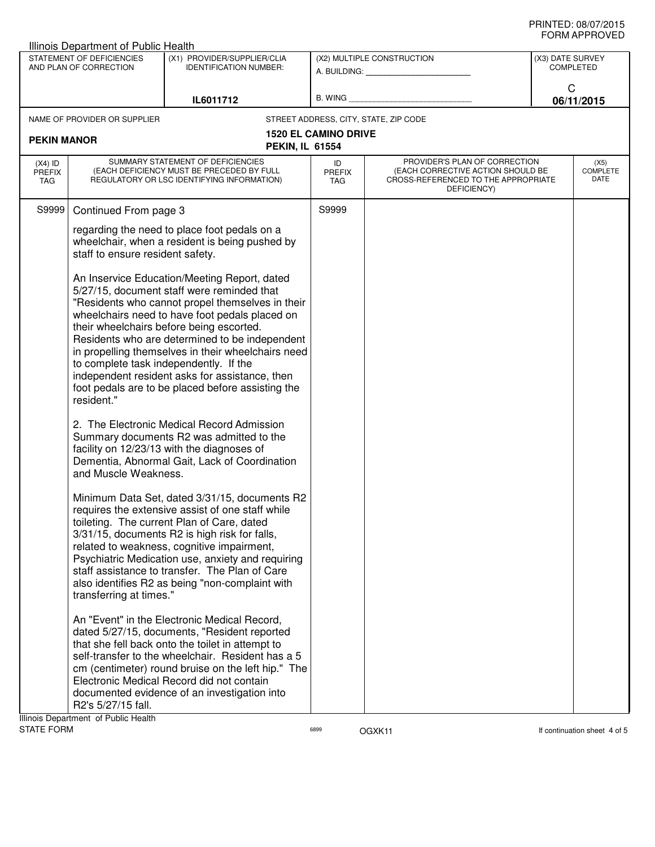| Illinois Department of Public Health                                                                                             |                                                                                                                                                                                                                                                                                                                                                                                                                                                                                                                                                                                                                                                                                                                                                                                                                                           |                                                                                                                                                                                                                                                                                                                                                          |                                                                                                                                                        |                                                         |                                      |                                 |  |
|----------------------------------------------------------------------------------------------------------------------------------|-------------------------------------------------------------------------------------------------------------------------------------------------------------------------------------------------------------------------------------------------------------------------------------------------------------------------------------------------------------------------------------------------------------------------------------------------------------------------------------------------------------------------------------------------------------------------------------------------------------------------------------------------------------------------------------------------------------------------------------------------------------------------------------------------------------------------------------------|----------------------------------------------------------------------------------------------------------------------------------------------------------------------------------------------------------------------------------------------------------------------------------------------------------------------------------------------------------|--------------------------------------------------------------------------------------------------------------------------------------------------------|---------------------------------------------------------|--------------------------------------|---------------------------------|--|
| STATEMENT OF DEFICIENCIES<br>(X1) PROVIDER/SUPPLIER/CLIA<br>AND PLAN OF CORRECTION<br><b>IDENTIFICATION NUMBER:</b><br>IL6011712 |                                                                                                                                                                                                                                                                                                                                                                                                                                                                                                                                                                                                                                                                                                                                                                                                                                           |                                                                                                                                                                                                                                                                                                                                                          |                                                                                                                                                        | (X2) MULTIPLE CONSTRUCTION<br>A. BUILDING: A. BUILDING: | (X3) DATE SURVEY<br><b>COMPLETED</b> |                                 |  |
|                                                                                                                                  |                                                                                                                                                                                                                                                                                                                                                                                                                                                                                                                                                                                                                                                                                                                                                                                                                                           | B. WING                                                                                                                                                                                                                                                                                                                                                  |                                                                                                                                                        | C<br>06/11/2015                                         |                                      |                                 |  |
|                                                                                                                                  | NAME OF PROVIDER OR SUPPLIER                                                                                                                                                                                                                                                                                                                                                                                                                                                                                                                                                                                                                                                                                                                                                                                                              |                                                                                                                                                                                                                                                                                                                                                          |                                                                                                                                                        | STREET ADDRESS, CITY, STATE, ZIP CODE                   |                                      |                                 |  |
| <b>PEKIN MANOR</b>                                                                                                               |                                                                                                                                                                                                                                                                                                                                                                                                                                                                                                                                                                                                                                                                                                                                                                                                                                           | <b>PEKIN, IL 61554</b>                                                                                                                                                                                                                                                                                                                                   | <b>1520 EL CAMINO DRIVE</b>                                                                                                                            |                                                         |                                      |                                 |  |
| $(X4)$ ID<br><b>PREFIX</b><br>TAG                                                                                                | SUMMARY STATEMENT OF DEFICIENCIES<br>(EACH DEFICIENCY MUST BE PRECEDED BY FULL<br>REGULATORY OR LSC IDENTIFYING INFORMATION)                                                                                                                                                                                                                                                                                                                                                                                                                                                                                                                                                                                                                                                                                                              |                                                                                                                                                                                                                                                                                                                                                          | PROVIDER'S PLAN OF CORRECTION<br>ID<br>(EACH CORRECTIVE ACTION SHOULD BE<br><b>PREFIX</b><br>CROSS-REFERENCED TO THE APPROPRIATE<br>TAG<br>DEFICIENCY) |                                                         |                                      | (X5)<br><b>COMPLETE</b><br>DATE |  |
| S9999                                                                                                                            | Continued From page 3                                                                                                                                                                                                                                                                                                                                                                                                                                                                                                                                                                                                                                                                                                                                                                                                                     |                                                                                                                                                                                                                                                                                                                                                          | S9999                                                                                                                                                  |                                                         |                                      |                                 |  |
|                                                                                                                                  | regarding the need to place foot pedals on a<br>wheelchair, when a resident is being pushed by<br>staff to ensure resident safety.                                                                                                                                                                                                                                                                                                                                                                                                                                                                                                                                                                                                                                                                                                        |                                                                                                                                                                                                                                                                                                                                                          |                                                                                                                                                        |                                                         |                                      |                                 |  |
|                                                                                                                                  | An Inservice Education/Meeting Report, dated<br>5/27/15, document staff were reminded that<br>"Residents who cannot propel themselves in their<br>wheelchairs need to have foot pedals placed on<br>their wheelchairs before being escorted.<br>Residents who are determined to be independent<br>in propelling themselves in their wheelchairs need<br>to complete task independently. If the<br>independent resident asks for assistance, then<br>foot pedals are to be placed before assisting the<br>resident."<br>2. The Electronic Medical Record Admission<br>Summary documents R2 was admitted to the<br>facility on 12/23/13 with the diagnoses of<br>Dementia, Abnormal Gait, Lack of Coordination<br>and Muscle Weakness.<br>Minimum Data Set, dated 3/31/15, documents R2<br>requires the extensive assist of one staff while |                                                                                                                                                                                                                                                                                                                                                          |                                                                                                                                                        |                                                         |                                      |                                 |  |
|                                                                                                                                  | transferring at times."                                                                                                                                                                                                                                                                                                                                                                                                                                                                                                                                                                                                                                                                                                                                                                                                                   | toileting. The current Plan of Care, dated<br>3/31/15, documents R2 is high risk for falls,<br>related to weakness, cognitive impairment,<br>Psychiatric Medication use, anxiety and requiring<br>staff assistance to transfer. The Plan of Care<br>also identifies R2 as being "non-complaint with                                                      |                                                                                                                                                        |                                                         |                                      |                                 |  |
|                                                                                                                                  | R2's 5/27/15 fall.<br>Illinois Department of Public Health                                                                                                                                                                                                                                                                                                                                                                                                                                                                                                                                                                                                                                                                                                                                                                                | An "Event" in the Electronic Medical Record,<br>dated 5/27/15, documents, "Resident reported<br>that she fell back onto the toilet in attempt to<br>self-transfer to the wheelchair. Resident has a 5<br>cm (centimeter) round bruise on the left hip." The<br>Electronic Medical Record did not contain<br>documented evidence of an investigation into |                                                                                                                                                        |                                                         |                                      |                                 |  |